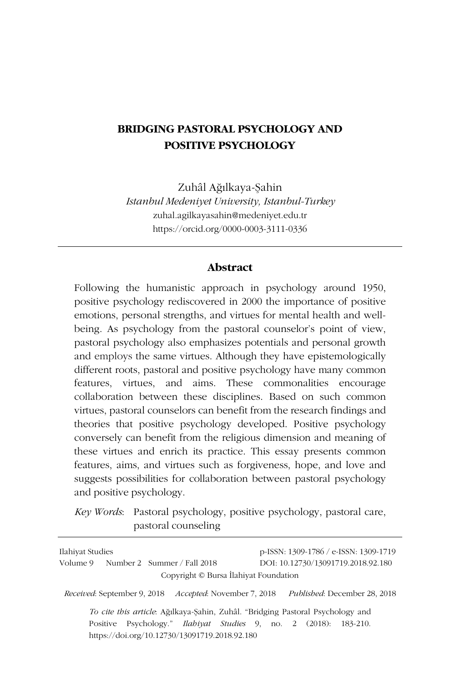## **BRIDGING PASTORAL PSYCHOLOGY AND POSITIVE PSYCHOLOGY**

Zuhâl Ağılkaya-Şahin *Istanbul Medeniyet University, Istanbul-Turkey* zuhal.agilkayasahin@medeniyet.edu.tr https://orcid.org/0000-0003-3111-0336

#### **Abstract**

Following the humanistic approach in psychology around 1950, positive psychology rediscovered in 2000 the importance of positive emotions, personal strengths, and virtues for mental health and wellbeing. As psychology from the pastoral counselor's point of view, pastoral psychology also emphasizes potentials and personal growth and employs the same virtues. Although they have epistemologically different roots, pastoral and positive psychology have many common features, virtues, and aims. These commonalities encourage collaboration between these disciplines. Based on such common virtues, pastoral counselors can benefit from the research findings and theories that positive psychology developed. Positive psychology conversely can benefit from the religious dimension and meaning of these virtues and enrich its practice. This essay presents common features, aims, and virtues such as forgiveness, hope, and love and suggests possibilities for collaboration between pastoral psychology and positive psychology.

*Key Words*: Pastoral psychology, positive psychology, pastoral care, pastoral counseling

| Ilahiyat Studies                                                                                                         | p-ISSN: 1309-1786 / e-ISSN: 1309-1719 |
|--------------------------------------------------------------------------------------------------------------------------|---------------------------------------|
| Volume 9 Number 2 Summer / Fall 2018<br>Copyright © Bursa Ilahiyat Foundation                                            | DOI: 10.12730/13091719.2018.92.180    |
| <i>Received:</i> September 9, 2018 <i>Accepted:</i> November 7, 2018                                                     | Published: December 28, 2018          |
| To cite this article. Ağılkaya-Şahin, Zuhâl. "Bridging Pastoral Psychology and                                           |                                       |
| Positive Psychology." <i>Ilabiyat Studies</i> 9, no. 2 (2018): 183-210.<br>https://doi.org/10.12730/13091719.2018.92.180 |                                       |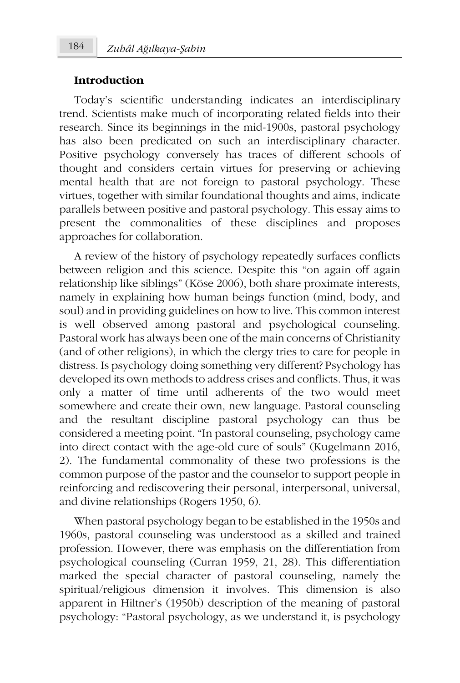#### **Introduction**

Today's scientific understanding indicates an interdisciplinary trend. Scientists make much of incorporating related fields into their research. Since its beginnings in the mid-1900s, pastoral psychology has also been predicated on such an interdisciplinary character. Positive psychology conversely has traces of different schools of thought and considers certain virtues for preserving or achieving mental health that are not foreign to pastoral psychology. These virtues, together with similar foundational thoughts and aims, indicate parallels between positive and pastoral psychology. This essay aims to present the commonalities of these disciplines and proposes approaches for collaboration.

A review of the history of psychology repeatedly surfaces conflicts between religion and this science. Despite this "on again off again relationship like siblings" (Köse 2006), both share proximate interests, namely in explaining how human beings function (mind, body, and soul) and in providing guidelines on how to live. This common interest is well observed among pastoral and psychological counseling. Pastoral work has always been one of the main concerns of Christianity (and of other religions), in which the clergy tries to care for people in distress. Is psychology doing something very different? Psychology has developed its own methods to address crises and conflicts. Thus, it was only a matter of time until adherents of the two would meet somewhere and create their own, new language. Pastoral counseling and the resultant discipline pastoral psychology can thus be considered a meeting point. "In pastoral counseling, psychology came into direct contact with the age-old cure of souls" (Kugelmann 2016, 2). The fundamental commonality of these two professions is the common purpose of the pastor and the counselor to support people in reinforcing and rediscovering their personal, interpersonal, universal, and divine relationships (Rogers 1950, 6).

When pastoral psychology began to be established in the 1950s and 1960s, pastoral counseling was understood as a skilled and trained profession. However, there was emphasis on the differentiation from psychological counseling (Curran 1959, 21, 28). This differentiation marked the special character of pastoral counseling, namely the spiritual/religious dimension it involves. This dimension is also apparent in Hiltner's (1950b) description of the meaning of pastoral psychology: "Pastoral psychology, as we understand it, is psychology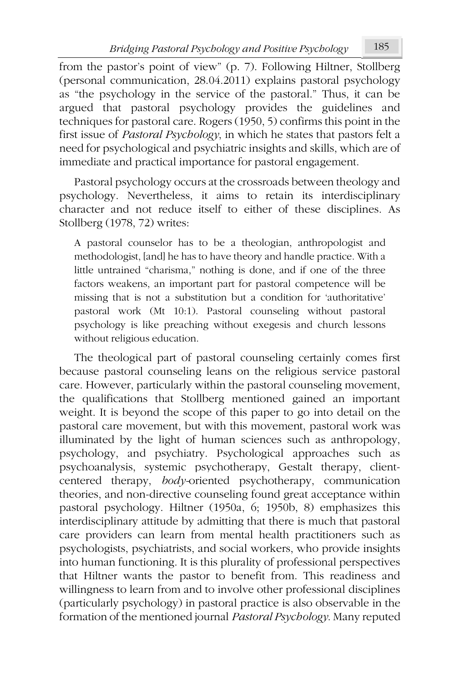from the pastor's point of view" (p. 7). Following Hiltner, Stollberg (personal communication, 28.04.2011) explains pastoral psychology as "the psychology in the service of the pastoral." Thus, it can be argued that pastoral psychology provides the guidelines and techniques for pastoral care. Rogers (1950, 5) confirms this point in the first issue of *Pastoral Psychology*, in which he states that pastors felt a need for psychological and psychiatric insights and skills, which are of immediate and practical importance for pastoral engagement.

Pastoral psychology occurs at the crossroads between theology and psychology. Nevertheless, it aims to retain its interdisciplinary character and not reduce itself to either of these disciplines. As Stollberg (1978, 72) writes:

A pastoral counselor has to be a theologian, anthropologist and methodologist, [and] he has to have theory and handle practice. With a little untrained "charisma," nothing is done, and if one of the three factors weakens, an important part for pastoral competence will be missing that is not a substitution but a condition for 'authoritative' pastoral work (Mt 10:1). Pastoral counseling without pastoral psychology is like preaching without exegesis and church lessons without religious education.

The theological part of pastoral counseling certainly comes first because pastoral counseling leans on the religious service pastoral care. However, particularly within the pastoral counseling movement, the qualifications that Stollberg mentioned gained an important weight. It is beyond the scope of this paper to go into detail on the pastoral care movement, but with this movement, pastoral work was illuminated by the light of human sciences such as anthropology, psychology, and psychiatry. Psychological approaches such as psychoanalysis, systemic psychotherapy, Gestalt therapy, clientcentered therapy, *body-*oriented psychotherapy, communication theories, and non-directive counseling found great acceptance within pastoral psychology. Hiltner (1950a, 6; 1950b, 8) emphasizes this interdisciplinary attitude by admitting that there is much that pastoral care providers can learn from mental health practitioners such as psychologists, psychiatrists, and social workers, who provide insights into human functioning. It is this plurality of professional perspectives that Hiltner wants the pastor to benefit from. This readiness and willingness to learn from and to involve other professional disciplines (particularly psychology) in pastoral practice is also observable in the formation of the mentioned journal *Pastoral Psychology*. Many reputed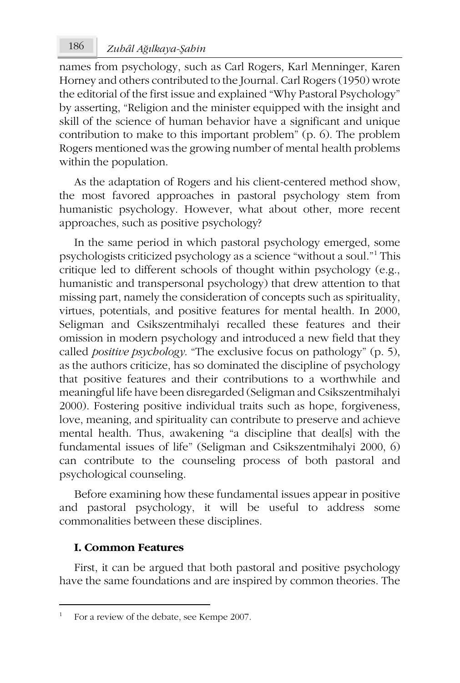# *Zuhâl A* 186 *ğılkaya-Şahin*

names from psychology, such as Carl Rogers, Karl Menninger, Karen Horney and others contributed to the Journal. Carl Rogers (1950) wrote the editorial of the first issue and explained "Why Pastoral Psychology" by asserting, "Religion and the minister equipped with the insight and skill of the science of human behavior have a significant and unique contribution to make to this important problem" (p. 6). The problem Rogers mentioned was the growing number of mental health problems within the population.

As the adaptation of Rogers and his client-centered method show, the most favored approaches in pastoral psychology stem from humanistic psychology. However, what about other, more recent approaches, such as positive psychology?

In the same period in which pastoral psychology emerged, some psychologists criticized psychology as a science "without a soul."<sup>1</sup> This critique led to different schools of thought within psychology (e.g., humanistic and transpersonal psychology) that drew attention to that missing part, namely the consideration of concepts such as spirituality, virtues, potentials, and positive features for mental health. In 2000, Seligman and Csikszentmihalyi recalled these features and their omission in modern psychology and introduced a new field that they called *positive psychology*. "The exclusive focus on pathology" (p. 5), as the authors criticize, has so dominated the discipline of psychology that positive features and their contributions to a worthwhile and meaningful life have been disregarded (Seligman and Csikszentmihalyi 2000). Fostering positive individual traits such as hope, forgiveness, love, meaning, and spirituality can contribute to preserve and achieve mental health. Thus, awakening "a discipline that deal[s] with the fundamental issues of life" (Seligman and Csikszentmihalyi 2000, 6) can contribute to the counseling process of both pastoral and psychological counseling.

Before examining how these fundamental issues appear in positive and pastoral psychology, it will be useful to address some commonalities between these disciplines.

### **I. Common Features**

First, it can be argued that both pastoral and positive psychology have the same foundations and are inspired by common theories. The

<sup>1</sup> For a review of the debate, see Kempe 2007.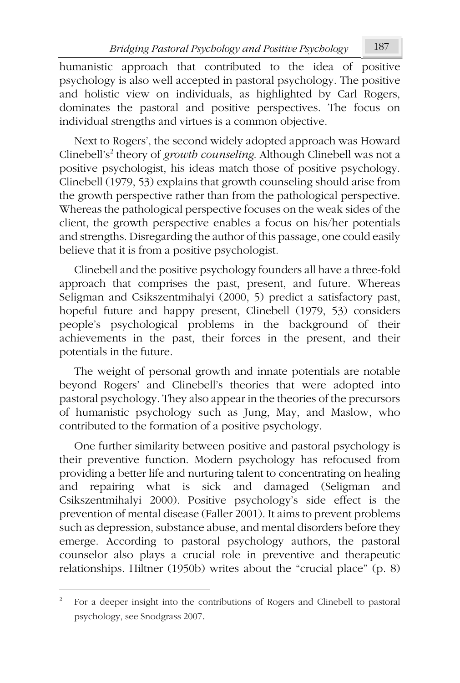humanistic approach that contributed to the idea of positive psychology is also well accepted in pastoral psychology. The positive and holistic view on individuals, as highlighted by Carl Rogers, dominates the pastoral and positive perspectives. The focus on individual strengths and virtues is a common objective.

Next to Rogers', the second widely adopted approach was Howard Clinebell's<sup>2</sup> theory of *growth counseling*. Although Clinebell was not a positive psychologist, his ideas match those of positive psychology. Clinebell (1979, 53) explains that growth counseling should arise from the growth perspective rather than from the pathological perspective. Whereas the pathological perspective focuses on the weak sides of the client, the growth perspective enables a focus on his/her potentials and strengths. Disregarding the author of this passage, one could easily believe that it is from a positive psychologist.

Clinebell and the positive psychology founders all have a three-fold approach that comprises the past, present, and future. Whereas Seligman and Csikszentmihalyi (2000, 5) predict a satisfactory past, hopeful future and happy present, Clinebell (1979, 53) considers people's psychological problems in the background of their achievements in the past, their forces in the present, and their potentials in the future.

The weight of personal growth and innate potentials are notable beyond Rogers' and Clinebell's theories that were adopted into pastoral psychology. They also appear in the theories of the precursors of humanistic psychology such as Jung, May, and Maslow, who contributed to the formation of a positive psychology.

One further similarity between positive and pastoral psychology is their preventive function. Modern psychology has refocused from providing a better life and nurturing talent to concentrating on healing and repairing what is sick and damaged (Seligman and Csikszentmihalyi 2000). Positive psychology's side effect is the prevention of mental disease (Faller 2001). It aims to prevent problems such as depression, substance abuse, and mental disorders before they emerge. According to pastoral psychology authors, the pastoral counselor also plays a crucial role in preventive and therapeutic relationships. Hiltner (1950b) writes about the "crucial place" (p. 8)

<sup>2</sup> For a deeper insight into the contributions of Rogers and Clinebell to pastoral psychology, see Snodgrass 2007.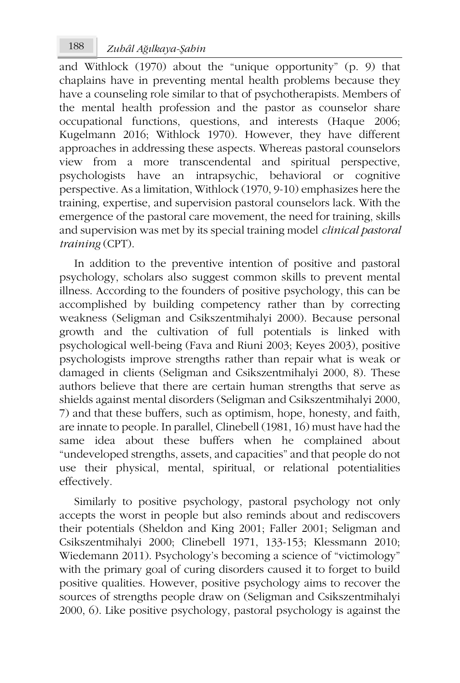and Withlock (1970) about the "unique opportunity" (p. 9) that chaplains have in preventing mental health problems because they have a counseling role similar to that of psychotherapists. Members of the mental health profession and the pastor as counselor share occupational functions, questions, and interests (Haque 2006; Kugelmann 2016; Withlock 1970). However, they have different approaches in addressing these aspects. Whereas pastoral counselors view from a more transcendental and spiritual perspective, psychologists have an intrapsychic, behavioral or cognitive perspective. As a limitation, Withlock (1970, 9-10) emphasizes here the training, expertise, and supervision pastoral counselors lack. With the emergence of the pastoral care movement, the need for training, skills and supervision was met by its special training model *clinical pastoral training* (CPT).

In addition to the preventive intention of positive and pastoral psychology, scholars also suggest common skills to prevent mental illness. According to the founders of positive psychology, this can be accomplished by building competency rather than by correcting weakness (Seligman and Csikszentmihalyi 2000). Because personal growth and the cultivation of full potentials is linked with psychological well-being (Fava and Riuni 2003; Keyes 2003), positive psychologists improve strengths rather than repair what is weak or damaged in clients (Seligman and Csikszentmihalyi 2000, 8). These authors believe that there are certain human strengths that serve as shields against mental disorders (Seligman and Csikszentmihalyi 2000, 7) and that these buffers, such as optimism, hope, honesty, and faith, are innate to people. In parallel, Clinebell (1981, 16) must have had the same idea about these buffers when he complained about "undeveloped strengths, assets, and capacities" and that people do not use their physical, mental, spiritual, or relational potentialities effectively.

Similarly to positive psychology, pastoral psychology not only accepts the worst in people but also reminds about and rediscovers their potentials (Sheldon and King 2001; Faller 2001; Seligman and Csikszentmihalyi 2000; Clinebell 1971, 133-153; Klessmann 2010; Wiedemann 2011). Psychology's becoming a science of "victimology" with the primary goal of curing disorders caused it to forget to build positive qualities. However, positive psychology aims to recover the sources of strengths people draw on (Seligman and Csikszentmihalyi 2000, 6). Like positive psychology, pastoral psychology is against the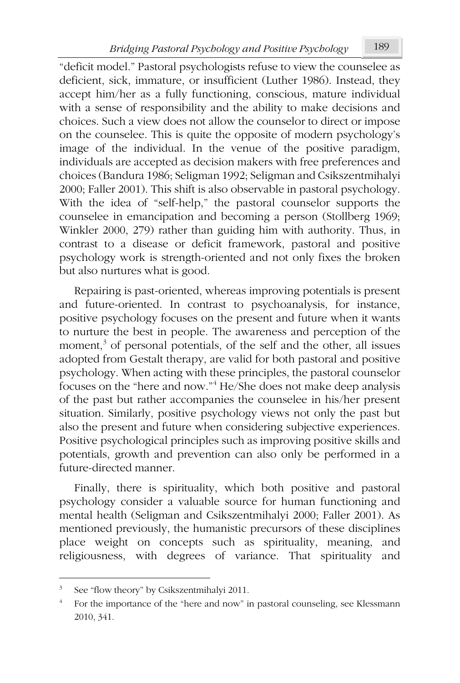"deficit model." Pastoral psychologists refuse to view the counselee as deficient, sick, immature, or insufficient (Luther 1986). Instead, they accept him/her as a fully functioning, conscious, mature individual with a sense of responsibility and the ability to make decisions and choices. Such a view does not allow the counselor to direct or impose on the counselee. This is quite the opposite of modern psychology's image of the individual. In the venue of the positive paradigm, individuals are accepted as decision makers with free preferences and choices (Bandura 1986; Seligman 1992; Seligman and Csikszentmihalyi 2000; Faller 2001). This shift is also observable in pastoral psychology. With the idea of "self-help," the pastoral counselor supports the counselee in emancipation and becoming a person (Stollberg 1969; Winkler 2000, 279) rather than guiding him with authority. Thus, in contrast to a disease or deficit framework, pastoral and positive psychology work is strength-oriented and not only fixes the broken but also nurtures what is good.

Repairing is past-oriented, whereas improving potentials is present and future-oriented. In contrast to psychoanalysis, for instance, positive psychology focuses on the present and future when it wants to nurture the best in people. The awareness and perception of the moment,<sup>3</sup> of personal potentials, of the self and the other, all issues adopted from Gestalt therapy, are valid for both pastoral and positive psychology. When acting with these principles, the pastoral counselor focuses on the "here and now."<sup>4</sup> He/She does not make deep analysis of the past but rather accompanies the counselee in his/her present situation. Similarly, positive psychology views not only the past but also the present and future when considering subjective experiences. Positive psychological principles such as improving positive skills and potentials, growth and prevention can also only be performed in a future-directed manner.

Finally, there is spirituality, which both positive and pastoral psychology consider a valuable source for human functioning and mental health (Seligman and Csikszentmihalyi 2000; Faller 2001). As mentioned previously, the humanistic precursors of these disciplines place weight on concepts such as spirituality, meaning, and religiousness, with degrees of variance. That spirituality and

<sup>3</sup> See "flow theory" by Csikszentmihalyi 2011.

<sup>4</sup> For the importance of the "here and now" in pastoral counseling, see Klessmann 2010, 341.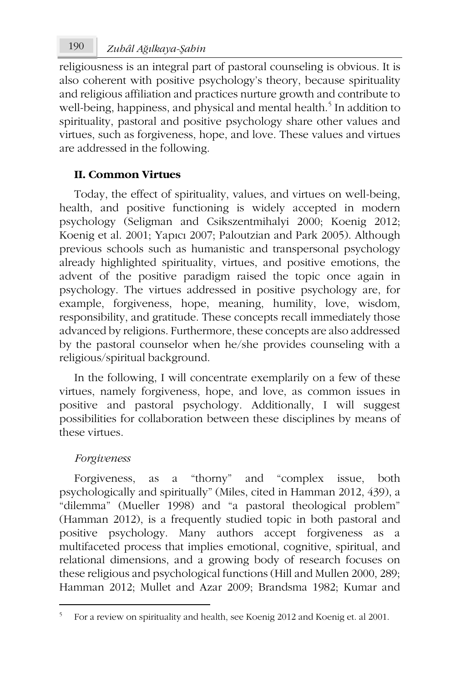religiousness is an integral part of pastoral counseling is obvious. It is also coherent with positive psychology's theory, because spirituality and religious affiliation and practices nurture growth and contribute to well-being, happiness, and physical and mental health.<sup>5</sup> In addition to spirituality, pastoral and positive psychology share other values and virtues, such as forgiveness, hope, and love. These values and virtues are addressed in the following.

## **II. Common Virtues**

Today, the effect of spirituality, values, and virtues on well-being, health, and positive functioning is widely accepted in modern psychology (Seligman and Csikszentmihalyi 2000; Koenig 2012; Koenig et al. 2001; Yapıcı 2007; Paloutzian and Park 2005). Although previous schools such as humanistic and transpersonal psychology already highlighted spirituality, virtues, and positive emotions, the advent of the positive paradigm raised the topic once again in psychology. The virtues addressed in positive psychology are, for example, forgiveness, hope, meaning, humility, love, wisdom, responsibility, and gratitude. These concepts recall immediately those advanced by religions. Furthermore, these concepts are also addressed by the pastoral counselor when he/she provides counseling with a religious/spiritual background.

In the following, I will concentrate exemplarily on a few of these virtues, namely forgiveness, hope, and love, as common issues in positive and pastoral psychology. Additionally, I will suggest possibilities for collaboration between these disciplines by means of these virtues.

### *Forgiveness*

Forgiveness, as a "thorny" and "complex issue, both psychologically and spiritually" (Miles, cited in Hamman 2012, 439), a "dilemma" (Mueller 1998) and "a pastoral theological problem" (Hamman 2012), is a frequently studied topic in both pastoral and positive psychology. Many authors accept forgiveness as a multifaceted process that implies emotional, cognitive, spiritual, and relational dimensions, and a growing body of research focuses on these religious and psychological functions (Hill and Mullen 2000, 289; Hamman 2012; Mullet and Azar 2009; Brandsma 1982; Kumar and

<sup>5</sup> For a review on spirituality and health, see Koenig 2012 and Koenig et. al 2001.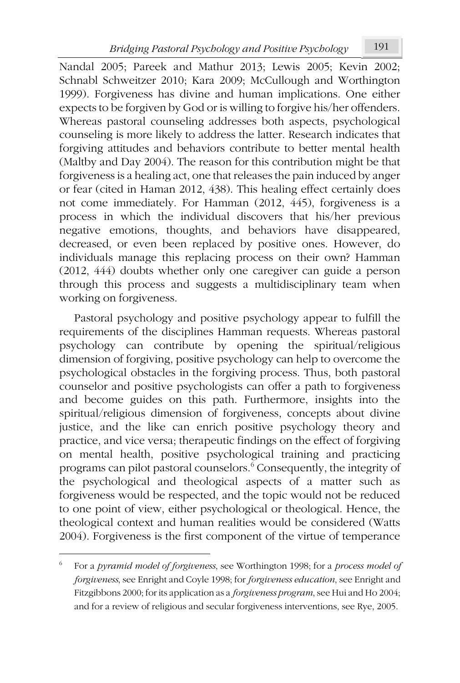Nandal 2005; Pareek and Mathur 2013; Lewis 2005; Kevin 2002; Schnabl Schweitzer 2010; Kara 2009; McCullough and Worthington 1999). Forgiveness has divine and human implications. One either expects to be forgiven by God or is willing to forgive his/her offenders. Whereas pastoral counseling addresses both aspects, psychological counseling is more likely to address the latter. Research indicates that forgiving attitudes and behaviors contribute to better mental health (Maltby and Day 2004). The reason for this contribution might be that forgiveness is a healing act, one that releases the pain induced by anger or fear (cited in Haman 2012, 438). This healing effect certainly does not come immediately. For Hamman (2012, 445), forgiveness is a process in which the individual discovers that his/her previous negative emotions, thoughts, and behaviors have disappeared, decreased, or even been replaced by positive ones. However, do individuals manage this replacing process on their own? Hamman (2012, 444) doubts whether only one caregiver can guide a person through this process and suggests a multidisciplinary team when working on forgiveness.

Pastoral psychology and positive psychology appear to fulfill the requirements of the disciplines Hamman requests. Whereas pastoral psychology can contribute by opening the spiritual/religious dimension of forgiving, positive psychology can help to overcome the psychological obstacles in the forgiving process. Thus, both pastoral counselor and positive psychologists can offer a path to forgiveness and become guides on this path. Furthermore, insights into the spiritual/religious dimension of forgiveness, concepts about divine justice, and the like can enrich positive psychology theory and practice, and vice versa; therapeutic findings on the effect of forgiving on mental health, positive psychological training and practicing programs can pilot pastoral counselors. $^6$  Consequently, the integrity of the psychological and theological aspects of a matter such as forgiveness would be respected, and the topic would not be reduced to one point of view, either psychological or theological. Hence, the theological context and human realities would be considered (Watts 2004). Forgiveness is the first component of the virtue of temperance

<sup>6</sup> For a *pyramid model of forgiveness*, see Worthington 1998; for a *process model of forgiveness*, see Enright and Coyle 1998; for *forgiveness education*, see Enright and Fitzgibbons 2000; for its application as a *forgiveness program*, see Hui and Ho 2004; and for a review of religious and secular forgiveness interventions, see Rye, 2005.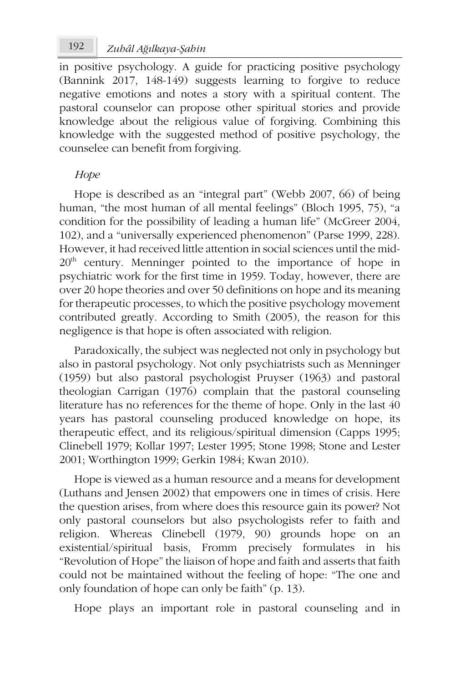# *Zuhâl A* 192 *ğılkaya-Şahin*

in positive psychology. A guide for practicing positive psychology (Bannink 2017, 148-149) suggests learning to forgive to reduce negative emotions and notes a story with a spiritual content. The pastoral counselor can propose other spiritual stories and provide knowledge about the religious value of forgiving. Combining this knowledge with the suggested method of positive psychology, the counselee can benefit from forgiving.

### *Hope*

Hope is described as an "integral part" (Webb 2007, 66) of being human, "the most human of all mental feelings" (Bloch 1995, 75), "a condition for the possibility of leading a human life" (McGreer 2004, 102), and a "universally experienced phenomenon" (Parse 1999, 228). However, it had received little attention in social sciences until the mid-20<sup>th</sup> century. Menninger pointed to the importance of hope in psychiatric work for the first time in 1959. Today, however, there are over 20 hope theories and over 50 definitions on hope and its meaning for therapeutic processes, to which the positive psychology movement contributed greatly. According to Smith (2005), the reason for this negligence is that hope is often associated with religion.

Paradoxically, the subject was neglected not only in psychology but also in pastoral psychology. Not only psychiatrists such as Menninger (1959) but also pastoral psychologist Pruyser (1963) and pastoral theologian Carrigan (1976) complain that the pastoral counseling literature has no references for the theme of hope. Only in the last 40 years has pastoral counseling produced knowledge on hope, its therapeutic effect, and its religious/spiritual dimension (Capps 1995; Clinebell 1979; Kollar 1997; Lester 1995; Stone 1998; Stone and Lester 2001; Worthington 1999; Gerkin 1984; Kwan 2010).

Hope is viewed as a human resource and a means for development (Luthans and Jensen 2002) that empowers one in times of crisis. Here the question arises, from where does this resource gain its power? Not only pastoral counselors but also psychologists refer to faith and religion. Whereas Clinebell (1979, 90) grounds hope on an existential/spiritual basis, Fromm precisely formulates in his "Revolution of Hope" the liaison of hope and faith and asserts that faith could not be maintained without the feeling of hope: "The one and only foundation of hope can only be faith" (p. 13).

Hope plays an important role in pastoral counseling and in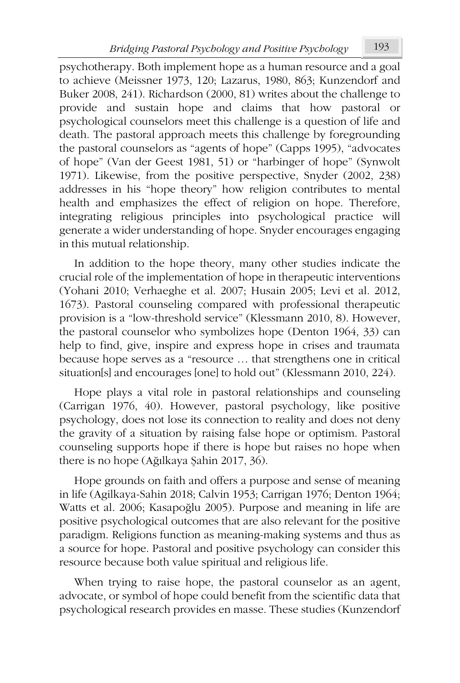psychotherapy. Both implement hope as a human resource and a goal to achieve (Meissner 1973, 120; Lazarus, 1980, 863; Kunzendorf and Buker 2008, 241). Richardson (2000, 81) writes about the challenge to provide and sustain hope and claims that how pastoral or psychological counselors meet this challenge is a question of life and death. The pastoral approach meets this challenge by foregrounding the pastoral counselors as "agents of hope" (Capps 1995), "advocates of hope" (Van der Geest 1981, 51) or "harbinger of hope" (Synwolt 1971). Likewise, from the positive perspective, Snyder (2002, 238) addresses in his "hope theory" how religion contributes to mental health and emphasizes the effect of religion on hope. Therefore, integrating religious principles into psychological practice will generate a wider understanding of hope. Snyder encourages engaging in this mutual relationship.

In addition to the hope theory, many other studies indicate the crucial role of the implementation of hope in therapeutic interventions (Yohani 2010; Verhaeghe et al. 2007; Husain 2005; Levi et al. 2012, 1673). Pastoral counseling compared with professional therapeutic provision is a "low-threshold service" (Klessmann 2010, 8). However, the pastoral counselor who symbolizes hope (Denton 1964, 33) can help to find, give, inspire and express hope in crises and traumata because hope serves as a "resource … that strengthens one in critical situation[s] and encourages [one] to hold out" (Klessmann 2010, 224).

Hope plays a vital role in pastoral relationships and counseling (Carrigan 1976, 40). However, pastoral psychology, like positive psychology, does not lose its connection to reality and does not deny the gravity of a situation by raising false hope or optimism. Pastoral counseling supports hope if there is hope but raises no hope when there is no hope (Ağılkaya Şahin 2017, 36).

Hope grounds on faith and offers a purpose and sense of meaning in life (Agilkaya-Sahin 2018; Calvin 1953; Carrigan 1976; Denton 1964; Watts et al. 2006; Kasapoğlu 2005). Purpose and meaning in life are positive psychological outcomes that are also relevant for the positive paradigm. Religions function as meaning-making systems and thus as a source for hope. Pastoral and positive psychology can consider this resource because both value spiritual and religious life.

When trying to raise hope, the pastoral counselor as an agent, advocate, or symbol of hope could benefit from the scientific data that psychological research provides en masse. These studies (Kunzendorf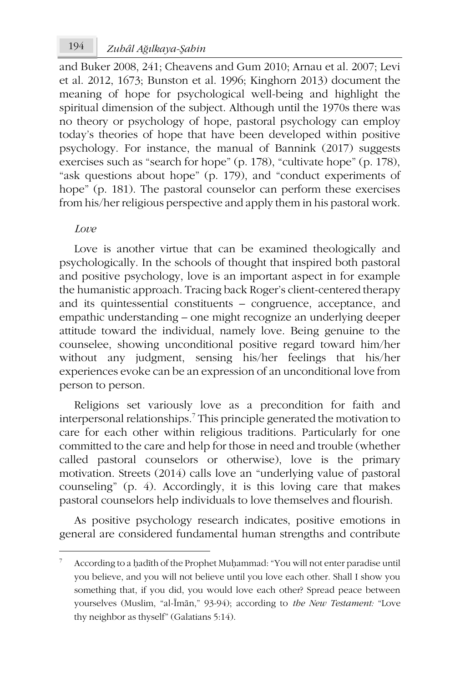and Buker 2008, 241; Cheavens and Gum 2010; Arnau et al. 2007; Levi et al. 2012, 1673; Bunston et al. 1996; Kinghorn 2013) document the meaning of hope for psychological well-being and highlight the spiritual dimension of the subject. Although until the 1970s there was no theory or psychology of hope, pastoral psychology can employ today's theories of hope that have been developed within positive psychology. For instance, the manual of Bannink (2017) suggests exercises such as "search for hope" (p. 178), "cultivate hope" (p. 178), "ask questions about hope" (p. 179), and "conduct experiments of hope" (p. 181). The pastoral counselor can perform these exercises from his/her religious perspective and apply them in his pastoral work.

### *Love*

Love is another virtue that can be examined theologically and psychologically. In the schools of thought that inspired both pastoral and positive psychology, love is an important aspect in for example the humanistic approach. Tracing back Roger's client-centered therapy and its quintessential constituents – congruence, acceptance, and empathic understanding – one might recognize an underlying deeper attitude toward the individual, namely love. Being genuine to the counselee, showing unconditional positive regard toward him/her without any judgment, sensing his/her feelings that his/her experiences evoke can be an expression of an unconditional love from person to person.

Religions set variously love as a precondition for faith and interpersonal relationships.<sup>7</sup> This principle generated the motivation to care for each other within religious traditions. Particularly for one committed to the care and help for those in need and trouble (whether called pastoral counselors or otherwise), love is the primary motivation. Streets (2014) calls love an "underlying value of pastoral counseling" (p. 4). Accordingly, it is this loving care that makes pastoral counselors help individuals to love themselves and flourish.

As positive psychology research indicates, positive emotions in general are considered fundamental human strengths and contribute

<sup>7</sup> According to a ḥadīth of the Prophet Muḥammad: "You will not enter paradise until you believe, and you will not believe until you love each other. Shall I show you something that, if you did, you would love each other? Spread peace between yourselves (Muslim, "al-Īmān," 93-94); according to *the New Testament:* "Love thy neighbor as thyself" (Galatians 5:14).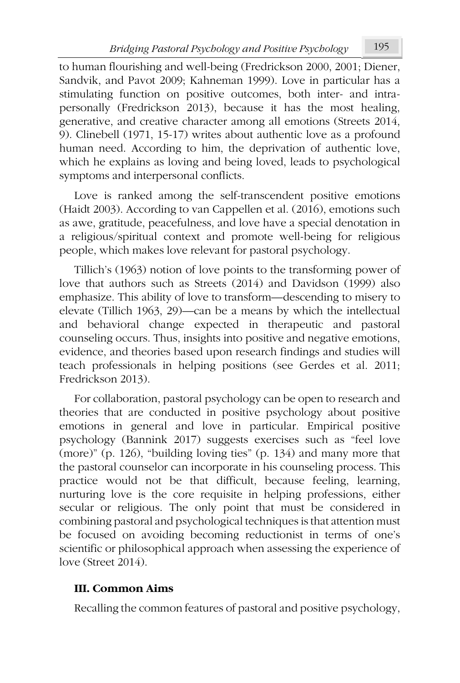to human flourishing and well-being (Fredrickson 2000, 2001; Diener, Sandvik, and Pavot 2009; Kahneman 1999). Love in particular has a stimulating function on positive outcomes, both inter- and intrapersonally (Fredrickson 2013), because it has the most healing, generative, and creative character among all emotions (Streets 2014, 9). Clinebell (1971, 15-17) writes about authentic love as a profound human need. According to him, the deprivation of authentic love, which he explains as loving and being loved, leads to psychological symptoms and interpersonal conflicts.

Love is ranked among the self-transcendent positive emotions (Haidt 2003). According to van Cappellen et al. (2016), emotions such as awe, gratitude, peacefulness, and love have a special denotation in a religious/spiritual context and promote well-being for religious people, which makes love relevant for pastoral psychology.

Tillich's (1963) notion of love points to the transforming power of love that authors such as Streets (2014) and Davidson (1999) also emphasize. This ability of love to transform—descending to misery to elevate (Tillich 1963, 29)—can be a means by which the intellectual and behavioral change expected in therapeutic and pastoral counseling occurs. Thus, insights into positive and negative emotions, evidence, and theories based upon research findings and studies will teach professionals in helping positions (see Gerdes et al. 2011; Fredrickson 2013).

For collaboration, pastoral psychology can be open to research and theories that are conducted in positive psychology about positive emotions in general and love in particular. Empirical positive psychology (Bannink 2017) suggests exercises such as "feel love (more)" (p. 126), "building loving ties" (p. 134) and many more that the pastoral counselor can incorporate in his counseling process. This practice would not be that difficult, because feeling, learning, nurturing love is the core requisite in helping professions, either secular or religious. The only point that must be considered in combining pastoral and psychological techniques is that attention must be focused on avoiding becoming reductionist in terms of one's scientific or philosophical approach when assessing the experience of love (Street 2014).

## **III. Common Aims**

Recalling the common features of pastoral and positive psychology,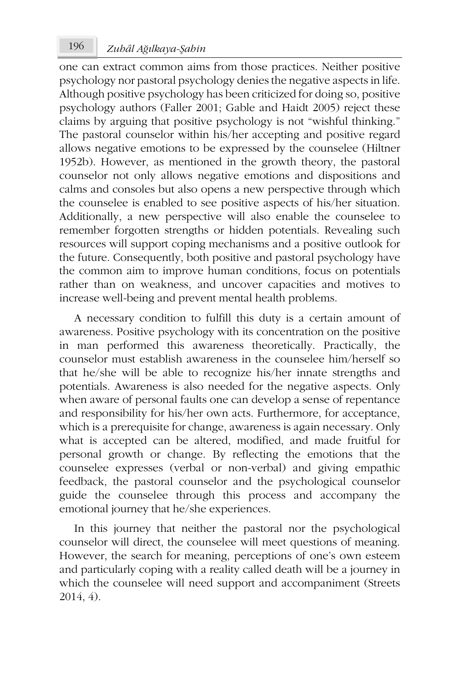# *Zuhâl A* 196 *ğılkaya-Şahin*

one can extract common aims from those practices. Neither positive psychology nor pastoral psychology denies the negative aspects in life. Although positive psychology has been criticized for doing so, positive psychology authors (Faller 2001; Gable and Haidt 2005) reject these claims by arguing that positive psychology is not "wishful thinking." The pastoral counselor within his/her accepting and positive regard allows negative emotions to be expressed by the counselee (Hiltner 1952b). However, as mentioned in the growth theory, the pastoral counselor not only allows negative emotions and dispositions and calms and consoles but also opens a new perspective through which the counselee is enabled to see positive aspects of his/her situation. Additionally, a new perspective will also enable the counselee to remember forgotten strengths or hidden potentials. Revealing such resources will support coping mechanisms and a positive outlook for the future. Consequently, both positive and pastoral psychology have the common aim to improve human conditions, focus on potentials rather than on weakness, and uncover capacities and motives to increase well-being and prevent mental health problems.

A necessary condition to fulfill this duty is a certain amount of awareness. Positive psychology with its concentration on the positive in man performed this awareness theoretically. Practically, the counselor must establish awareness in the counselee him/herself so that he/she will be able to recognize his/her innate strengths and potentials. Awareness is also needed for the negative aspects. Only when aware of personal faults one can develop a sense of repentance and responsibility for his/her own acts. Furthermore, for acceptance, which is a prerequisite for change, awareness is again necessary. Only what is accepted can be altered, modified, and made fruitful for personal growth or change. By reflecting the emotions that the counselee expresses (verbal or non-verbal) and giving empathic feedback, the pastoral counselor and the psychological counselor guide the counselee through this process and accompany the emotional journey that he/she experiences.

In this journey that neither the pastoral nor the psychological counselor will direct, the counselee will meet questions of meaning. However, the search for meaning, perceptions of one's own esteem and particularly coping with a reality called death will be a journey in which the counselee will need support and accompaniment (Streets 2014, 4).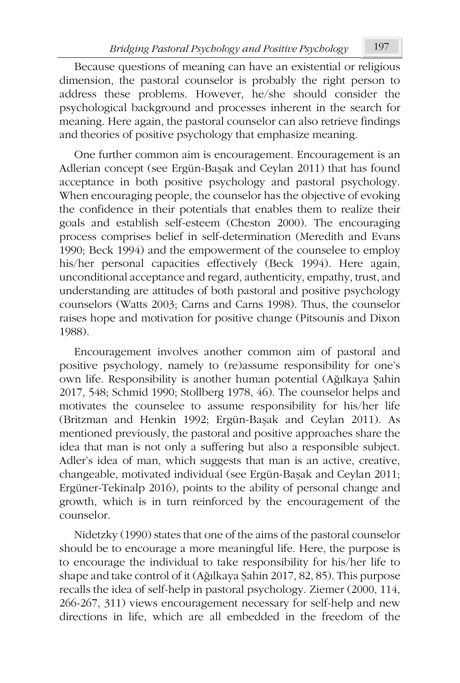Because questions of meaning can have an existential or religious dimension, the pastoral counselor is probably the right person to address these problems. However, he/she should consider the psychological background and processes inherent in the search for meaning. Here again, the pastoral counselor can also retrieve findings and theories of positive psychology that emphasize meaning.

One further common aim is encouragement. Encouragement is an Adlerian concept (see Ergün-Başak and Ceylan 2011) that has found acceptance in both positive psychology and pastoral psychology. When encouraging people, the counselor has the objective of evoking the confidence in their potentials that enables them to realize their goals and establish self-esteem (Cheston 2000). The encouraging process comprises belief in self-determination (Meredith and Evans 1990; Beck 1994) and the empowerment of the counselee to employ his/her personal capacities effectively (Beck 1994). Here again, unconditional acceptance and regard, authenticity, empathy, trust, and understanding are attitudes of both pastoral and positive psychology counselors (Watts 2003; Carns and Carns 1998). Thus, the counselor raises hope and motivation for positive change (Pitsounis and Dixon 1988).

Encouragement involves another common aim of pastoral and positive psychology, namely to (re)assume responsibility for one's own life. Responsibility is another human potential (Ağılkaya Şahin 2017, 548; Schmid 1990; Stollberg 1978, 46). The counselor helps and motivates the counselee to assume responsibility for his/her life (Britzman and Henkin 1992; Ergün-Başak and Ceylan 2011). As mentioned previously, the pastoral and positive approaches share the idea that man is not only a suffering but also a responsible subject. Adler's idea of man, which suggests that man is an active, creative, changeable, motivated individual (see Ergün-Başak and Ceylan 2011; Ergüner-Tekinalp 2016), points to the ability of personal change and growth, which is in turn reinforced by the encouragement of the counselor.

Nidetzky (1990) states that one of the aims of the pastoral counselor should be to encourage a more meaningful life. Here, the purpose is to encourage the individual to take responsibility for his/her life to shape and take control of it (Ağılkaya Şahin 2017, 82, 85). This purpose recalls the idea of self-help in pastoral psychology. Ziemer (2000, 114, 266-267, 311) views encouragement necessary for self-help and new directions in life, which are all embedded in the freedom of the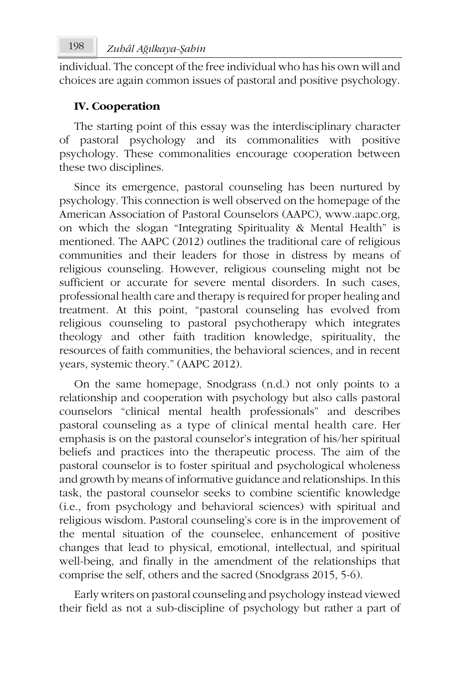individual. The concept of the free individual who has his own will and choices are again common issues of pastoral and positive psychology.

## **IV. Cooperation**

The starting point of this essay was the interdisciplinary character of pastoral psychology and its commonalities with positive psychology. These commonalities encourage cooperation between these two disciplines.

Since its emergence, pastoral counseling has been nurtured by psychology. This connection is well observed on the homepage of the American Association of Pastoral Counselors (AAPC), www.aapc.org, on which the slogan "Integrating Spirituality & Mental Health" is mentioned. The AAPC (2012) outlines the traditional care of religious communities and their leaders for those in distress by means of religious counseling. However, religious counseling might not be sufficient or accurate for severe mental disorders. In such cases, professional health care and therapy is required for proper healing and treatment. At this point, "pastoral counseling has evolved from religious counseling to pastoral psychotherapy which integrates theology and other faith tradition knowledge, spirituality, the resources of faith communities, the behavioral sciences, and in recent years, systemic theory." (AAPC 2012).

On the same homepage, Snodgrass (n.d.) not only points to a relationship and cooperation with psychology but also calls pastoral counselors "clinical mental health professionals" and describes pastoral counseling as a type of clinical mental health care. Her emphasis is on the pastoral counselor's integration of his/her spiritual beliefs and practices into the therapeutic process. The aim of the pastoral counselor is to foster spiritual and psychological wholeness and growth by means of informative guidance and relationships. In this task, the pastoral counselor seeks to combine scientific knowledge (i.e., from psychology and behavioral sciences) with spiritual and religious wisdom. Pastoral counseling's core is in the improvement of the mental situation of the counselee, enhancement of positive changes that lead to physical, emotional, intellectual, and spiritual well-being, and finally in the amendment of the relationships that comprise the self, others and the sacred (Snodgrass 2015, 5-6).

Early writers on pastoral counseling and psychology instead viewed their field as not a sub-discipline of psychology but rather a part of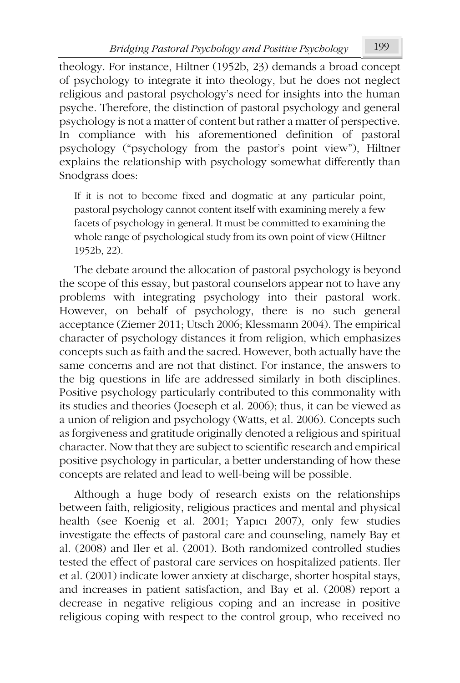theology. For instance, Hiltner (1952b, 23) demands a broad concept of psychology to integrate it into theology, but he does not neglect religious and pastoral psychology's need for insights into the human psyche. Therefore, the distinction of pastoral psychology and general psychology is not a matter of content but rather a matter of perspective. In compliance with his aforementioned definition of pastoral psychology ("psychology from the pastor's point view"), Hiltner explains the relationship with psychology somewhat differently than Snodgrass does:

If it is not to become fixed and dogmatic at any particular point, pastoral psychology cannot content itself with examining merely a few facets of psychology in general. It must be committed to examining the whole range of psychological study from its own point of view (Hiltner 1952b, 22).

The debate around the allocation of pastoral psychology is beyond the scope of this essay, but pastoral counselors appear not to have any problems with integrating psychology into their pastoral work. However, on behalf of psychology, there is no such general acceptance (Ziemer 2011; Utsch 2006; Klessmann 2004). The empirical character of psychology distances it from religion, which emphasizes concepts such as faith and the sacred. However, both actually have the same concerns and are not that distinct. For instance, the answers to the big questions in life are addressed similarly in both disciplines. Positive psychology particularly contributed to this commonality with its studies and theories (Joeseph et al. 2006); thus, it can be viewed as a union of religion and psychology (Watts, et al. 2006). Concepts such as forgiveness and gratitude originally denoted a religious and spiritual character. Now that they are subject to scientific research and empirical positive psychology in particular, a better understanding of how these concepts are related and lead to well-being will be possible.

Although a huge body of research exists on the relationships between faith, religiosity, religious practices and mental and physical health (see Koenig et al. 2001; Yapıcı 2007), only few studies investigate the effects of pastoral care and counseling, namely Bay et al. (2008) and Iler et al. (2001). Both randomized controlled studies tested the effect of pastoral care services on hospitalized patients. Iler et al. (2001) indicate lower anxiety at discharge, shorter hospital stays, and increases in patient satisfaction, and Bay et al. (2008) report a decrease in negative religious coping and an increase in positive religious coping with respect to the control group, who received no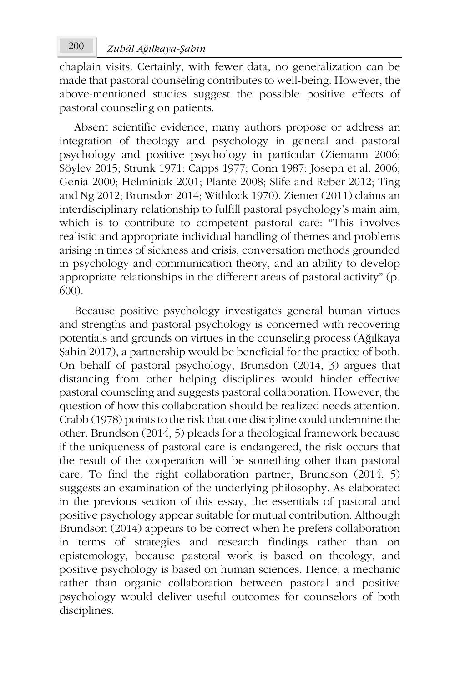chaplain visits. Certainly, with fewer data, no generalization can be made that pastoral counseling contributes to well-being. However, the above-mentioned studies suggest the possible positive effects of pastoral counseling on patients.

Absent scientific evidence, many authors propose or address an integration of theology and psychology in general and pastoral psychology and positive psychology in particular (Ziemann 2006; Söylev 2015; Strunk 1971; Capps 1977; Conn 1987; Joseph et al. 2006; Genia 2000; Helminiak 2001; Plante 2008; Slife and Reber 2012; Ting and Ng 2012; Brunsdon 2014; Withlock 1970). Ziemer (2011) claims an interdisciplinary relationship to fulfill pastoral psychology's main aim, which is to contribute to competent pastoral care: "This involves realistic and appropriate individual handling of themes and problems arising in times of sickness and crisis, conversation methods grounded in psychology and communication theory, and an ability to develop appropriate relationships in the different areas of pastoral activity" (p. 600).

Because positive psychology investigates general human virtues and strengths and pastoral psychology is concerned with recovering potentials and grounds on virtues in the counseling process (Ağılkaya Şahin 2017), a partnership would be beneficial for the practice of both. On behalf of pastoral psychology, Brunsdon (2014, 3) argues that distancing from other helping disciplines would hinder effective pastoral counseling and suggests pastoral collaboration. However, the question of how this collaboration should be realized needs attention. Crabb (1978) points to the risk that one discipline could undermine the other. Brundson (2014, 5) pleads for a theological framework because if the uniqueness of pastoral care is endangered, the risk occurs that the result of the cooperation will be something other than pastoral care. To find the right collaboration partner, Brundson (2014, 5) suggests an examination of the underlying philosophy. As elaborated in the previous section of this essay, the essentials of pastoral and positive psychology appear suitable for mutual contribution. Although Brundson (2014) appears to be correct when he prefers collaboration in terms of strategies and research findings rather than on epistemology, because pastoral work is based on theology, and positive psychology is based on human sciences. Hence, a mechanic rather than organic collaboration between pastoral and positive psychology would deliver useful outcomes for counselors of both disciplines.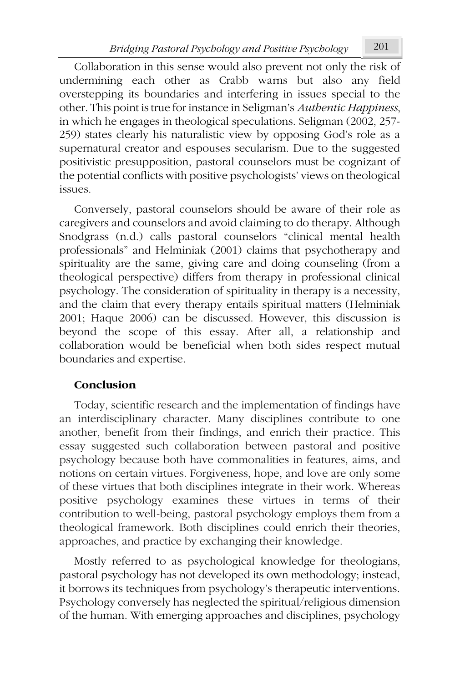Collaboration in this sense would also prevent not only the risk of undermining each other as Crabb warns but also any field overstepping its boundaries and interfering in issues special to the other. This point is true for instance in Seligman's *Authentic Happiness*, in which he engages in theological speculations. Seligman (2002, 257- 259) states clearly his naturalistic view by opposing God's role as a supernatural creator and espouses secularism. Due to the suggested positivistic presupposition, pastoral counselors must be cognizant of the potential conflicts with positive psychologists' views on theological issues.

Conversely, pastoral counselors should be aware of their role as caregivers and counselors and avoid claiming to do therapy. Although Snodgrass (n.d.) calls pastoral counselors "clinical mental health professionals" and Helminiak (2001) claims that psychotherapy and spirituality are the same, giving care and doing counseling (from a theological perspective) differs from therapy in professional clinical psychology. The consideration of spirituality in therapy is a necessity, and the claim that every therapy entails spiritual matters (Helminiak 2001; Haque 2006) can be discussed. However, this discussion is beyond the scope of this essay. After all, a relationship and collaboration would be beneficial when both sides respect mutual boundaries and expertise.

## **Conclusion**

Today, scientific research and the implementation of findings have an interdisciplinary character. Many disciplines contribute to one another, benefit from their findings, and enrich their practice. This essay suggested such collaboration between pastoral and positive psychology because both have commonalities in features, aims, and notions on certain virtues. Forgiveness, hope, and love are only some of these virtues that both disciplines integrate in their work. Whereas positive psychology examines these virtues in terms of their contribution to well-being, pastoral psychology employs them from a theological framework. Both disciplines could enrich their theories, approaches, and practice by exchanging their knowledge.

Mostly referred to as psychological knowledge for theologians, pastoral psychology has not developed its own methodology; instead, it borrows its techniques from psychology's therapeutic interventions. Psychology conversely has neglected the spiritual/religious dimension of the human. With emerging approaches and disciplines, psychology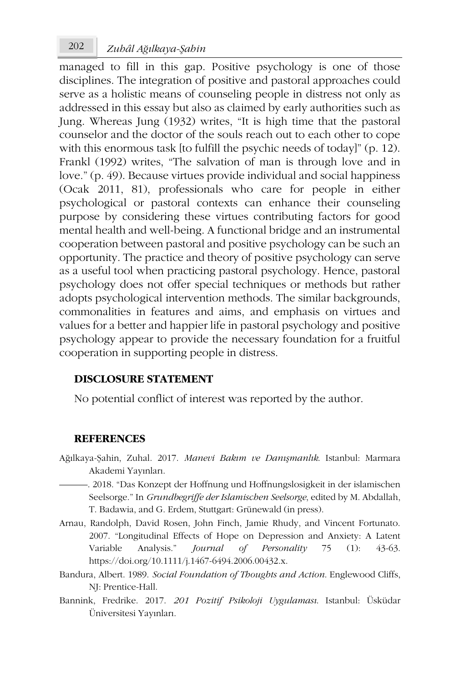managed to fill in this gap. Positive psychology is one of those disciplines. The integration of positive and pastoral approaches could serve as a holistic means of counseling people in distress not only as addressed in this essay but also as claimed by early authorities such as Jung. Whereas Jung (1932) writes, "It is high time that the pastoral counselor and the doctor of the souls reach out to each other to cope with this enormous task [to fulfill the psychic needs of today]" (p. 12). Frankl (1992) writes, "The salvation of man is through love and in love." (p. 49). Because virtues provide individual and social happiness (Ocak 2011, 81), professionals who care for people in either psychological or pastoral contexts can enhance their counseling purpose by considering these virtues contributing factors for good mental health and well-being. A functional bridge and an instrumental cooperation between pastoral and positive psychology can be such an opportunity. The practice and theory of positive psychology can serve as a useful tool when practicing pastoral psychology. Hence, pastoral psychology does not offer special techniques or methods but rather adopts psychological intervention methods. The similar backgrounds, commonalities in features and aims, and emphasis on virtues and values for a better and happier life in pastoral psychology and positive psychology appear to provide the necessary foundation for a fruitful cooperation in supporting people in distress.

### **DISCLOSURE STATEMENT**

No potential conflict of interest was reported by the author.

### **REFERENCES**

- Ağılkaya-Şahin, Zuhal. 2017. *Manevi Bakım ve Danışmanlık*. Istanbul: Marmara Akademi Yayınları.
- ———. 2018. "Das Konzept der Hoffnung und Hoffnungslosigkeit in der islamischen Seelsorge." In *Grundbegriffe der Islamischen Seelsorge*, edited by M. Abdallah, T. Badawia, and G. Erdem, Stuttgart: Grünewald (in press).
- Arnau, Randolph, David Rosen, John Finch, Jamie Rhudy, and Vincent Fortunato. 2007. "Longitudinal Effects of Hope on Depression and Anxiety: A Latent Variable Analysis." *Journal of Personality* 75 (1): 43-63. https://doi.org/10.1111/j.1467-6494.2006.00432.x.
- Bandura, Albert. 1989. *Social Foundation of Thoughts and Action*. Englewood Cliffs, NJ: Prentice-Hall.
- Bannink, Fredrike. 2017. *201 Pozitif Psikoloji Uygulaması*. Istanbul: Üsküdar Üniversitesi Yayınları.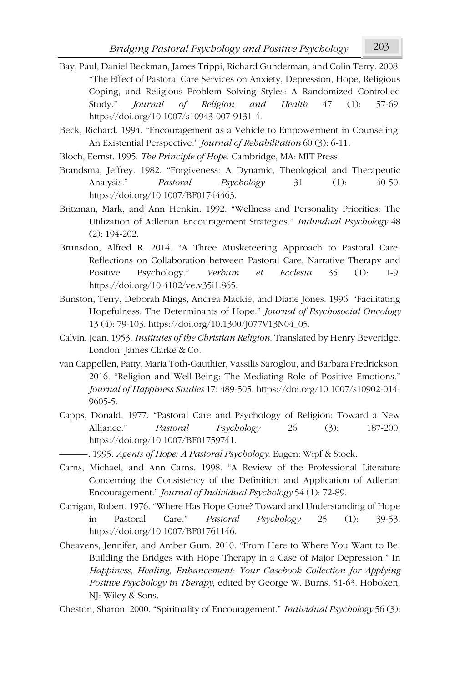- Bay, Paul, Daniel Beckman, James Trippi, Richard Gunderman, and Colin Terry. 2008. "The Effect of Pastoral Care Services on Anxiety, Depression, Hope, Religious Coping, and Religious Problem Solving Styles: A Randomized Controlled Study." *Journal of Religion and Health* 47 (1): 57-69. https://doi.org/10.1007/s10943-007-9131-4.
- Beck, Richard. 1994. "Encouragement as a Vehicle to Empowerment in Counseling: An Existential Perspective." *Journal of Rehabilitation* 60 (3): 6-11.
- Bloch, Eernst. 1995. *The Principle of Hope*. Cambridge, MA: MIT Press.
- Brandsma, Jeffrey. 1982. "Forgiveness: A Dynamic, Theological and Therapeutic Analysis." *Pastoral Psychology* 31 (1): 40-50. https://doi.org/10.1007/BF01744463.
- Britzman, Mark, and Ann Henkin. 1992. "Wellness and Personality Priorities: The Utilization of Adlerian Encouragement Strategies." *Individual Psychology* 48 (2): 194-202.
- Brunsdon, Alfred R. 2014. "A Three Musketeering Approach to Pastoral Care: Reflections on Collaboration between Pastoral Care, Narrative Therapy and Positive Psychology." *Verbum et Ecclesia* 35 (1): 1-9. https://doi.org/10.4102/ve.v35i1.865.
- Bunston, Terry, Deborah Mings, Andrea Mackie, and Diane Jones. 1996. "Facilitating Hopefulness: The Determinants of Hope." *Journal of Psychosocial Oncology* 13 (4): 79-103. https://doi.org/10.1300/J077V13N04\_05.
- Calvin, Jean. 1953. *Institutes of the Christian Religion*. Translated by Henry Beveridge. London: James Clarke & Co.
- van Cappellen, Patty, Maria Toth-Gauthier, Vassilis Saroglou, and Barbara Fredrickson. 2016. "Religion and Well-Being: The Mediating Role of Positive Emotions." *Journal of Happiness Studies* 17: 489-505. https://doi.org/10.1007/s10902-014- 9605-5.
- Capps, Donald. 1977. "Pastoral Care and Psychology of Religion: Toward a New Alliance." *Pastoral Psychology* 26 (3): 187-200. https://doi.org/10.1007/BF01759741.
	- ———*.* 1995. *Agents of Hope: A Pastoral Psychology*. Eugen: Wipf & Stock.
- Carns, Michael, and Ann Carns. 1998. "A Review of the Professional Literature Concerning the Consistency of the Definition and Application of Adlerian Encouragement." *Journal of Individual Psychology* 54 (1): 72-89.
- Carrigan, Robert. 1976. "Where Has Hope Gone? Toward and Understanding of Hope in Pastoral Care." *Pastoral Psychology* 25 (1): 39-53. https://doi.org/10.1007/BF01761146.
- Cheavens, Jennifer, and Amber Gum. 2010. "From Here to Where You Want to Be: Building the Bridges with Hope Therapy in a Case of Major Depression." In *Happiness, Healing, Enhancement: Your Casebook Collection for Applying Positive Psychology in Therapy*, edited by George W. Burns, 51-63. Hoboken, NJ: Wiley & Sons.
- Cheston, Sharon. 2000. "Spirituality of Encouragement." *Individual Psychology* 56 (3):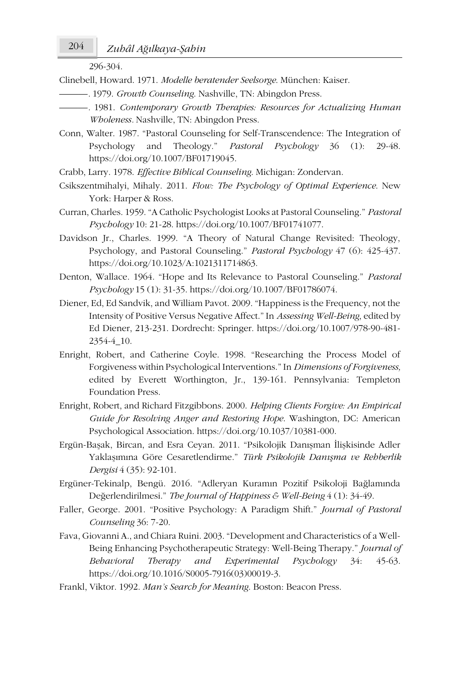296-304.

Clinebell, Howard. 1971. *Modelle beratender Seelsorge*. München: Kaiser.

- ———*.* 1979. *Growth Counseling*. Nashville, TN: Abingdon Press.
- ———*.* 1981. *Contemporary Growth Therapies: Resources for Actualizing Human Wholeness.* Nashville, TN: Abingdon Press.
- Conn, Walter. 1987. "Pastoral Counseling for Self-Transcendence: The Integration of Psychology and Theology." *Pastoral Psychology* 36 (1): 29-48. https://doi.org/10.1007/BF01719045.
- Crabb, Larry. 1978. *Effective Biblical Counseling*. Michigan: Zondervan.
- Csikszentmihalyi, Mihaly. 2011. *Flow: The Psychology of Optimal Experience*. New York: Harper & Ross.
- Curran, Charles. 1959. "A Catholic Psychologist Looks at Pastoral Counseling." *Pastoral Psychology* 10: 21-28. https://doi.org/10.1007/BF01741077.
- Davidson Jr., Charles. 1999. "A Theory of Natural Change Revisited: Theology, Psychology, and Pastoral Counseling." *Pastoral Psychology* 47 (6): 425-437. https://doi.org/10.1023/A:1021311714863.
- Denton, Wallace. 1964. "Hope and Its Relevance to Pastoral Counseling." *Pastoral Psychology* 15 (1): 31-35. https://doi.org/10.1007/BF01786074.
- Diener, Ed, Ed Sandvik, and William Pavot. 2009. "Happiness is the Frequency, not the Intensity of Positive Versus Negative Affect." In *Assessing Well-Being*, edited by Ed Diener, 213-231. Dordrecht: Springer. https://doi.org/10.1007/978-90-481- 2354-4\_10.
- Enright, Robert, and Catherine Coyle. 1998. "Researching the Process Model of Forgiveness within Psychological Interventions." In *Dimensions of Forgiveness,* edited by Everett Worthington, Jr., 139-161. Pennsylvania: Templeton Foundation Press.
- Enright, Robert, and Richard Fitzgibbons. 2000. *Helping Clients Forgive: An Empirical Guide for Resolving Anger and Restoring Hope*. Washington, DC: American Psychological Association. https://doi.org/10.1037/10381-000.
- Ergün-Başak, Bircan, and Esra Ceyan. 2011. "Psikolojik Danışman İlişkisinde Adler Yaklaşımına Göre Cesaretlendirme." *Türk Psikolojik Danışma ve Rehberlik Dergisi* 4 (35): 92-101.
- Ergüner-Tekinalp, Bengü. 2016. "Adleryan Kuramın Pozitif Psikoloji Bağlamında Değerlendirilmesi." *The Journal of Happiness & Well-Being* 4 (1): 34-49.
- Faller, George. 2001. "Positive Psychology: A Paradigm Shift." *Journal of Pastoral Counseling* 36: 7-20.
- Fava, Giovanni A., and Chiara Ruini. 2003. "Development and Characteristics of a Well-Being Enhancing Psychotherapeutic Strategy: Well-Being Therapy." *Journal of Behavioral Therapy and Experimental Psychology* 34: 45-63. https://doi.org/10.1016/S0005-7916(03)00019-3.
- Frankl, Viktor. 1992. *Man's Search for Meaning*. Boston: Beacon Press.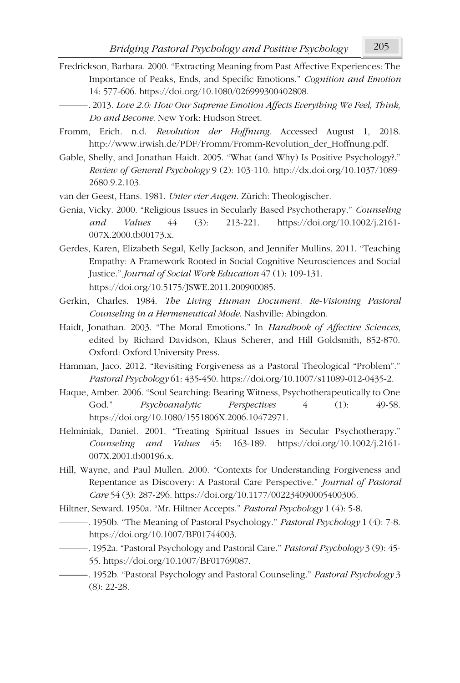- Fredrickson, Barbara. 2000. "Extracting Meaning from Past Affective Experiences: The Importance of Peaks, Ends, and Specific Emotions." *Cognition and Emotion* 14: 577-606. https://doi.org/10.1080/026999300402808.
	- ———*.* 2013. *Love 2.0: How Our Supreme Emotion Affects Everything We Feel, Think, Do and Become*. New York: Hudson Street.
- Fromm, Erich. n.d. *Revolution der Hoffnung*. Accessed August 1, 2018. http://www.irwish.de/PDF/Fromm/Fromm-Revolution\_der\_Hoffnung.pdf.
- Gable, Shelly, and Jonathan Haidt. 2005. "What (and Why) Is Positive Psychology?." *Review of General Psychology* 9 (2): 103-110. http://dx.doi.org/10.1037/1089- 2680.9.2.103.
- van der Geest, Hans. 1981. *Unter vier Augen*. Zürich: Theologischer.
- Genia, Vicky. 2000. "Religious Issues in Secularly Based Psychotherapy." *Counseling and Values* 44 (3): 213-221. https://doi.org/10.1002/j.2161- 007X.2000.tb00173.x.
- Gerdes, Karen, Elizabeth Segal, Kelly Jackson, and Jennifer Mullins. 2011. "Teaching Empathy: A Framework Rooted in Social Cognitive Neurosciences and Social Justice." *Journal of Social Work Education* 47 (1): 109-131. https://doi.org/10.5175/JSWE.2011.200900085.
- Gerkin, Charles. 1984. *The Living Human Document. Re-Visioning Pastoral Counseling in a Hermeneutical Mode*. Nashville: Abingdon.
- Haidt, Jonathan. 2003. "The Moral Emotions." In *Handbook of Affective Sciences*, edited by Richard Davidson, Klaus Scherer, and Hill Goldsmith, 852-870. Oxford: Oxford University Press.
- Hamman, Jaco. 2012. "Revisiting Forgiveness as a Pastoral Theological "Problem"." *Pastoral Psychology* 61: 435-450. https://doi.org/10.1007/s11089-012-0435-2.
- Haque, Amber. 2006. "Soul Searching: Bearing Witness, Psychotherapeutically to One God." *Psychoanalytic Perspectives*  $4$  (1): 49-58. https://doi.org/10.1080/1551806X.2006.10472971.
- Helminiak, Daniel. 2001. "Treating Spiritual Issues in Secular Psychotherapy." *Counseling and Values* 45: 163-189. https://doi.org/10.1002/j.2161- 007X.2001.tb00196.x.
- Hill, Wayne, and Paul Mullen. 2000. "Contexts for Understanding Forgiveness and Repentance as Discovery: A Pastoral Care Perspective." *Journal of Pastoral Care* 54 (3): 287-296. https://doi.org/10.1177/002234090005400306.
- Hiltner, Seward. 1950a. "Mr. Hiltner Accepts." *Pastoral Psychology* 1 (4): 5-8.
- ———*.* 1950b. "The Meaning of Pastoral Psychology." *Pastoral Psychology* 1 (4): 7-8. https://doi.org/10.1007/BF01744003.
- ———*.* 1952a. "Pastoral Psychology and Pastoral Care." *Pastoral Psychology* 3 (9): 45- 55. https://doi.org/10.1007/BF01769087.
- ———*.* 1952b. "Pastoral Psychology and Pastoral Counseling." *Pastoral Psychology* 3 (8): 22-28.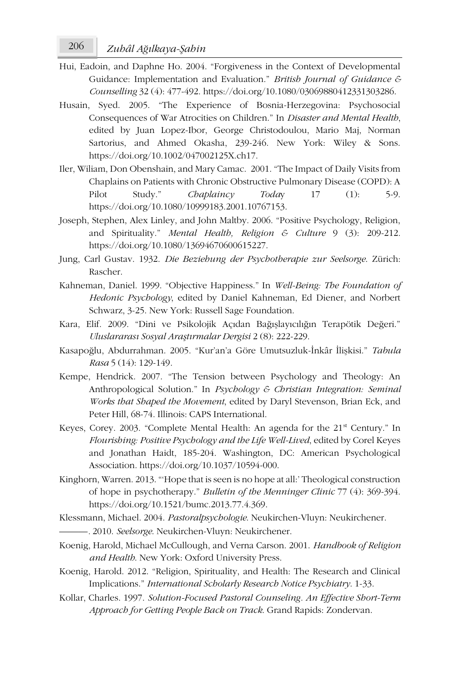- Hui, Eadoin, and Daphne Ho. 2004. "Forgiveness in the Context of Developmental Guidance: Implementation and Evaluation." *British Journal of Guidance & Counselling* 32 (4): 477-492. https://doi.org/10.1080/03069880412331303286.
- Husain, Syed. 2005. "The Experience of Bosnia-Herzegovina: Psychosocial Consequences of War Atrocities on Children." In *Disaster and Mental Health*, edited by Juan Lopez-Ibor, George Christodoulou, Mario Maj, Norman Sartorius, and Ahmed Okasha, 239-246. New York: Wiley & Sons. https://doi.org/10.1002/047002125X.ch17.
- Iler, Wiliam, Don Obenshain, and Mary Camac. 2001. "The Impact of Daily Visits from Chaplains on Patients with Chronic Obstructive Pulmonary Disease (COPD): A Pilot Study." *Chaplaincy Today* 17 (1): 5-9. https://doi.org/10.1080/10999183.2001.10767153.
- Joseph, Stephen, Alex Linley, and John Maltby. 2006. "Positive Psychology, Religion, and Spirituality." *Mental Health, Religion & Culture* 9 (3): 209-212. https://doi.org/10.1080/13694670600615227.
- Jung, Carl Gustav. 1932. *Die Beziehung der Psychotherapie zur Seelsorge*. Zürich: Rascher.
- Kahneman, Daniel. 1999. "Objective Happiness." In *Well-Being: The Foundation of Hedonic Psychology*, edited by Daniel Kahneman, Ed Diener, and Norbert Schwarz, 3-25. New York: Russell Sage Foundation.
- Kara, Elif. 2009. "Dini ve Psikolojik Açıdan Bağışlayıcılığın Terapötik Değeri." *Uluslararası Sosyal Araştırmalar Dergisi* 2 (8): 222-229.
- Kasapoğlu, Abdurrahman. 2005. "Kur'an'a Göre Umutsuzluk-İnkâr İlişkisi." *Tabula Rasa* 5 (14): 129-149.
- Kempe, Hendrick. 2007. "The Tension between Psychology and Theology: An Anthropological Solution." In *Psychology & Christian Integration: Seminal Works that Shaped the Movement*, edited by Daryl Stevenson, Brian Eck, and Peter Hill, 68-74. Illinois: CAPS International.
- Keyes, Corey. 2003. "Complete Mental Health: An agenda for the 21<sup>st</sup> Century." In *Flourishing: Positive Psychology and the Life Well-Lived*, edited by Corel Keyes and Jonathan Haidt, 185-204. Washington, DC: American Psychological Association. https://doi.org/10.1037/10594-000.
- Kinghorn, Warren. 2013. "'Hope that is seen is no hope at all:' Theological construction of hope in psychotherapy." *Bulletin of the Menninger Clinic* 77 (4): 369-394. https://doi.org/10.1521/bumc.2013.77.4.369.
- Klessmann, Michael. 2004. *Pastoralpsychologie*. Neukirchen-Vluyn: Neukirchener.
- ———*.* 2010. *Seelsorge*. Neukirchen-Vluyn: Neukirchener.
- Koenig, Harold, Michael McCullough, and Verna Carson. 2001. *Handbook of Religion and Health*. New York: Oxford University Press.
- Koenig, Harold. 2012. "Religion, Spirituality, and Health: The Research and Clinical Implications." *International Scholarly Research Notice Psychiatry*. 1-33.
- Kollar, Charles. 1997. *Solution-Focused Pastoral Counseling. An Effective Short-Term Approach for Getting People Back on Track*. Grand Rapids: Zondervan.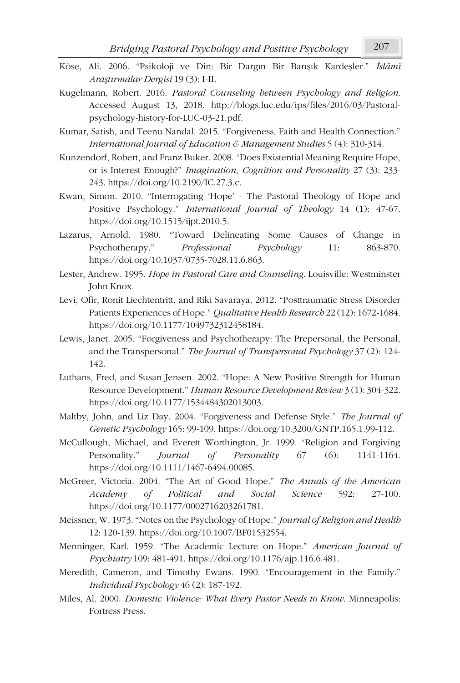- 
- Köse, Ali. 2006. "Psikoloji ve Din: Bir Dargın Bir Barışık Kardeşler." *İslâmî Araştırmalar Dergisi* 19 (3): I-II.
- Kugelmann, Robert. 2016. *Pastoral Counseling between Psychology and Religion*. Accessed August 13, 2018. http://blogs.luc.edu/ips/files/2016/03/Pastoralpsychology-history-for-LUC-03-21.pdf.
- Kumar, Satish, and Teenu Nandal. 2015. "Forgiveness, Faith and Health Connection." *International Journal of Education & Management Studies* 5 (4): 310-314.
- Kunzendorf, Robert, and Franz Buker. 2008. "Does Existential Meaning Require Hope, or is Interest Enough?" *Imagination, Cognition and Personality* 27 (3): 233- 243. https://doi.org/10.2190/IC.27.3.c.
- Kwan, Simon. 2010. "Interrogating 'Hope' The Pastoral Theology of Hope and Positive Psychology." *International Journal of Theology* 14 (1): 47-67. https://doi.org/10.1515/ijpt.2010.5.
- Lazarus, Arnold. 1980. "Toward Delineating Some Causes of Change in Psychotherapy." *Professional Psychology* 11: 863-870. https://doi.org/10.1037/0735-7028.11.6.863.
- Lester, Andrew. 1995. *Hope in Pastoral Care and Counseling*. Louisville: Westminster John Knox.
- Levi, Ofir, Ronit Liechtentritt, and Riki Savaraya. 2012. "Posttraumatic Stress Disorder Patients Experiences of Hope." *Qualitative Health Research* 22 (12): 1672-1684. https://doi.org/10.1177/1049732312458184.
- Lewis, Janet. 2005. "Forgiveness and Psychotherapy: The Prepersonal, the Personal, and the Transpersonal." *The Journal of Transpersonal Psychology* 37 (2): 124- 142.
- Luthans, Fred, and Susan Jensen. 2002. "Hope: A New Positive Strength for Human Resource Development." *Human Resource Development Review* 3 (1): 304-322. https://doi.org/10.1177/1534484302013003.
- Maltby, John, and Liz Day. 2004. "Forgiveness and Defense Style." *The Journal of Genetic Psychology* 165: 99-109. https://doi.org/10.3200/GNTP.165.1.99-112.
- McCullough, Michael, and Everett Worthington, Jr. 1999. "Religion and Forgiving Personality." *Journal of Personality* 67 (6): 1141-1164. https://doi.org/10.1111/1467-6494.00085.
- McGreer, Victoria. 2004. "The Art of Good Hope." *The Annals of the American Academy of Political and Social Science* 592: 27-100. https://doi.org/10.1177/0002716203261781.
- Meissner, W. 1973. "Notes on the Psychology of Hope." *Journal of Religion and Health* 12: 120-139. https://doi.org/10.1007/BF01532554.
- Menninger, Karl. 1959. "The Academic Lecture on Hope." *American Journal of Psychiatry* 109: 481-491. https://doi.org/10.1176/ajp.116.6.481.
- Meredith, Cameron, and Timothy Ewans. 1990. "Encouragement in the Family." *Individual Psychology* 46 (2): 187-192.
- Miles, Al. 2000. *Domestic Violence: What Every Pastor Needs to Know*. Minneapolis: Fortress Press.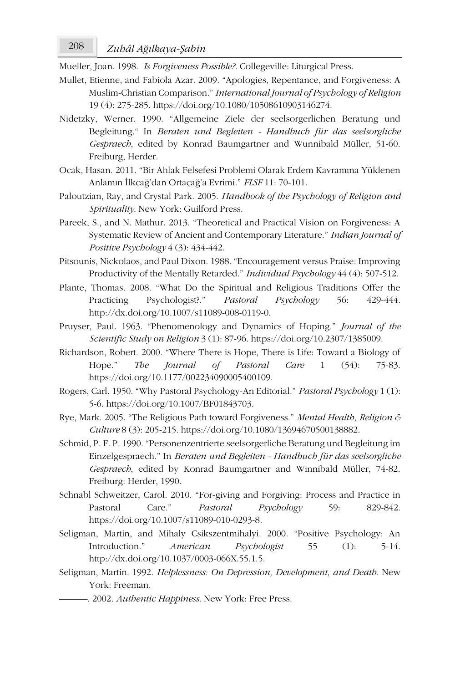*Zuhâl A* 208 *ğılkaya-Şahin*

Mueller, Joan. 1998. *Is Forgiveness Possible?.* Collegeville: Liturgical Press.

- Mullet, Etienne, and Fabiola Azar. 2009. "Apologies, Repentance, and Forgiveness: A Muslim-Christian Comparison." *International Journal of Psychology of Religion* 19 (4): 275-285. https://doi.org/10.1080/10508610903146274.
- Nidetzky, Werner. 1990. "Allgemeine Ziele der seelsorgerlichen Beratung und Begleitung." In *Beraten und Begleiten - Handbuch für das seelsorgliche Gespraech*, edited by Konrad Baumgartner and Wunnibald Müller, 51-60. Freiburg, Herder.
- Ocak, Hasan. 2011. "Bir Ahlak Felsefesi Problemi Olarak Erdem Kavramına Yüklenen Anlamın İlkçağ'dan Ortaçağ'a Evrimi." *FLSF* 11: 70-101.
- Paloutzian, Ray, and Crystal Park. 2005. *Handbook of the Psychology of Religion and Spirituality*. New York: Guilford Press.
- Pareek, S., and N. Mathur. 2013. "Theoretical and Practical Vision on Forgiveness: A Systematic Review of Ancient and Contemporary Literature." *Indian Journal of Positive Psychology* 4 (3): 434-442.
- Pitsounis, Nickolaos, and Paul Dixon. 1988. "Encouragement versus Praise: Improving Productivity of the Mentally Retarded." *Individual Psychology* 44 (4): 507-512.
- Plante, Thomas. 2008. "What Do the Spiritual and Religious Traditions Offer the Practicing Psychologist?." *Pastoral Psychology* 56: 429-444. http://dx.doi.org/10.1007/s11089-008-0119-0.
- Pruyser, Paul. 1963. "Phenomenology and Dynamics of Hoping." *Journal of the Scientific Study on Religion* 3 (1): 87-96. https://doi.org/10.2307/1385009.
- Richardson, Robert. 2000. "Where There is Hope, There is Life: Toward a Biology of Hope." *The Journal of Pastoral Care* 1 (54): 75-83. https://doi.org/10.1177/002234090005400109.
- Rogers, Carl. 1950. "Why Pastoral Psychology-An Editorial." *Pastoral Psychology* 1 (1): 5-6. https://doi.org/10.1007/BF01843703.
- Rye, Mark. 2005. "The Religious Path toward Forgiveness." *Mental Health, Religion & Culture* 8 (3): 205-215. https://doi.org/10.1080/13694670500138882.
- Schmid, P. F. P. 1990. "Personenzentrierte seelsorgerliche Beratung und Begleitung im Einzelgespraech." In *Beraten und Begleiten - Handbuch für das seelsorgliche Gespraech*, edited by Konrad Baumgartner and Winnibald Müller, 74-82. Freiburg: Herder, 1990.
- Schnabl Schweitzer, Carol. 2010. "For-giving and Forgiving: Process and Practice in Pastoral Care." *Pastoral Psychology* 59: 829-842. https://doi.org/10.1007/s11089-010-0293-8.
- Seligman, Martin, and Mihaly Csikszentmihalyi. 2000. "Positive Psychology: An Introduction." *American Psychologist* 55 (1): 5-14. http://dx.doi.org/10.1037/0003-066X.55.1.5.
- Seligman, Martin. 1992. *Helplessness: On Depression, Development, and Death*. New York: Freeman.
	- ———. 2002. *Authentic Happiness*. New York: Free Press.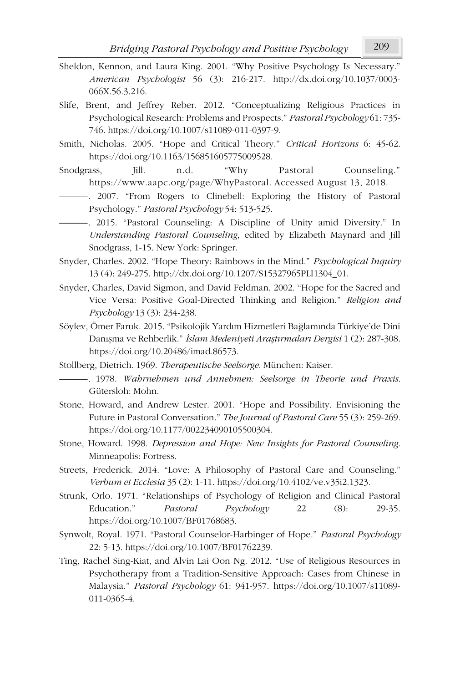- Sheldon, Kennon, and Laura King. 2001. "Why Positive Psychology Is Necessary." *American Psychologist* 56 (3): 216-217. http://dx.doi.org/10.1037/0003- 066X.56.3.216.
- Slife, Brent, and Jeffrey Reber. 2012. "Conceptualizing Religious Practices in Psychological Research: Problems and Prospects." *Pastoral Psychology* 61: 735- 746. https://doi.org/10.1007/s11089-011-0397-9.
- Smith, Nicholas. 2005. "Hope and Critical Theory." *Critical Horizons* 6: 45-62. https://doi.org/10.1163/156851605775009528.
- Snodgrass, Jill. n.d. "Why Pastoral Counseling." https://www.aapc.org/page/WhyPastoral. Accessed August 13, 2018.

———*.* 2007. "From Rogers to Clinebell: Exploring the History of Pastoral Psychology." *Pastoral Psychology* 54: 513-525.

———*.* 2015. "Pastoral Counseling: A Discipline of Unity amid Diversity." In *Understanding Pastoral Counseling*, edited by Elizabeth Maynard and Jill Snodgrass, 1-15. New York: Springer.

- Snyder, Charles. 2002. "Hope Theory: Rainbows in the Mind." *Psychological Inquiry* 13 (4): 249-275. http://dx.doi.org/10.1207/S15327965PLI1304\_01.
- Snyder, Charles, David Sigmon, and David Feldman. 2002. "Hope for the Sacred and Vice Versa: Positive Goal-Directed Thinking and Religion." *Religion and Psychology* 13 (3): 234-238.
- Söylev, Ömer Faruk. 2015. "Psikolojik Yardım Hizmetleri Bağlamında Türkiye'de Dini Danışma ve Rehberlik." *İslam Medeniyeti Araştırmaları Dergisi* 1 (2): 287-308. https://doi.org/10.20486/imad.86573.
- Stollberg, Dietrich. 1969. *Therapeutische Seelsorge*. München: Kaiser.
	- ———*.* 1978. *Wahrnehmen und Annehmen: Seelsorge in Theorie und Praxis*. Gütersloh: Mohn.
- Stone, Howard, and Andrew Lester. 2001. "Hope and Possibility. Envisioning the Future in Pastoral Conversation." *The Journal of Pastoral Care* 55 (3): 259-269. https://doi.org/10.1177/002234090105500304.
- Stone, Howard. 1998. *Depression and Hope: New Insights for Pastoral Counseling*. Minneapolis: Fortress.
- Streets, Frederick. 2014. "Love: A Philosophy of Pastoral Care and Counseling." *Verbum et Ecclesia* 35 (2): 1-11. https://doi.org/10.4102/ve.v35i2.1323.
- Strunk, Orlo. 1971. "Relationships of Psychology of Religion and Clinical Pastoral Education." *Pastoral Psychology* 22 (8): 29-35. https://doi.org/10.1007/BF01768683.
- Synwolt, Royal. 1971. "Pastoral Counselor-Harbinger of Hope." *Pastoral Psychology* 22: 5-13. https://doi.org/10.1007/BF01762239.
- Ting, Rachel Sing-Kiat, and Alvin Lai Oon Ng. 2012. "Use of Religious Resources in Psychotherapy from a Tradition-Sensitive Approach: Cases from Chinese in Malaysia." *Pastoral Psychology* 61: 941-957. https://doi.org/10.1007/s11089- 011-0365-4.